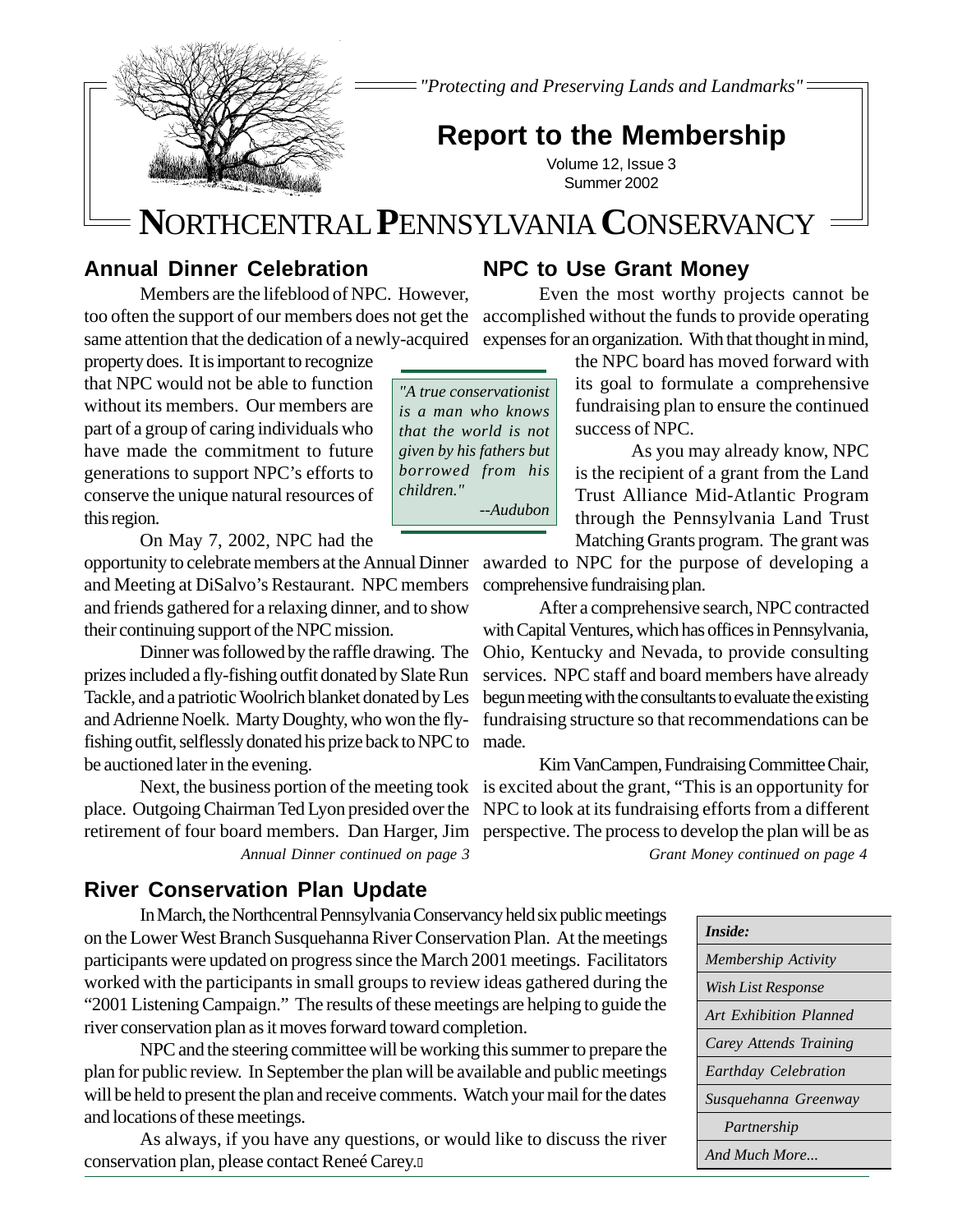*"Protecting and Preserving Lands and Landmarks"*

# **Report to the Membership**

Volume 12, Issue 3 Summer 2002

# **NN**ORTHCENTRAL **P**ENNSYLVANIA **C**ONSERVANCY

## **Annual Dinner Celebration**

too often the support of our members does not get the accomplished without the funds to provide operating same attention that the dedication of a newly-acquired expenses for an organization. With that thought in mind, Members are the lifeblood of NPC. However,

property does. It is important to recognize that NPC would not be able to function without its members. Our members are part of a group of caring individuals who have made the commitment to future generations to support NPC's efforts to conserve the unique natural resources of this region.

On May 7, 2002, NPC had the

opportunity to celebrate members at the Annual Dinner awarded to NPC for the purpose of developing a and Meeting at DiSalvo's Restaurant. NPC members and friends gathered for a relaxing dinner, and to show their continuing support of the NPC mission.

and Adrienne Noelk. Marty Doughty, who won the fly- fundraising structure so that recommendations can be fishing outfit, selflessly donated his prize back to NPC to made. Dinner was followed by the raffle drawing. The prizes included a fly-fishing outfit donated by Slate Run Tackle, and a patriotic Woolrich blanket donated by Les be auctioned later in the evening.

place. Outgoing Chairman Ted Lyon presided over the NPC to look at its fundraising efforts from a different retirement of four board members. Dan Harger, Jim perspective. The process to develop the plan will be as

## **River Conservation Plan Update**

In March, the Northcentral Pennsylvania Conservancy held six public meetings on the Lower West Branch Susquehanna River Conservation Plan. At the meetings participants were updated on progress since the March 2001 meetings. Facilitators worked with the participants in small groups to review ideas gathered during the "2001 Listening Campaign." The results of these meetings are helping to guide the river conservation plan as it moves forward toward completion.

NPC and the steering committee will be working this summer to prepare the plan for public review. In September the plan will be available and public meetings will be held to present the plan and receive comments. Watch your mail for the dates and locations of these meetings.

As always, if you have any questions, or would like to discuss the river conservation plan, please contact Reneé Carey.

## **NPC to Use Grant Money**

Even the most worthy projects cannot be

the NPC board has moved forward with its goal to formulate a comprehensive fundraising plan to ensure the continued success of NPC.

As you may already know, NPC is the recipient of a grant from the Land Trust Alliance Mid-Atlantic Program through the Pennsylvania Land Trust Matching Grants program. The grant was

comprehensive fundraising plan.

After a comprehensive search, NPC contracted with Capital Ventures, which has offices in Pennsylvania, Ohio, Kentucky and Nevada, to provide consulting services. NPC staff and board members have already begun meeting with the consultants to evaluate the existing

Kim VanCampen, Fundraising Committee Chair, Next, the business portion of the meeting took is excited about the grant, "This is an opportunity for *Annual Dinner continued on page 3 Grant Money continued on page 4*

| <b>Inside:</b>                |
|-------------------------------|
| Membership Activity           |
| Wish List Response            |
| <b>Art Exhibition Planned</b> |
| Carey Attends Training        |
| Earthday Celebration          |
| Susquehanna Greenway          |
| Partnership                   |
| And Much More                 |

*"A true conservationist is a man who knows that the world is not given by his fathers but borrowed from his children." --Audubon*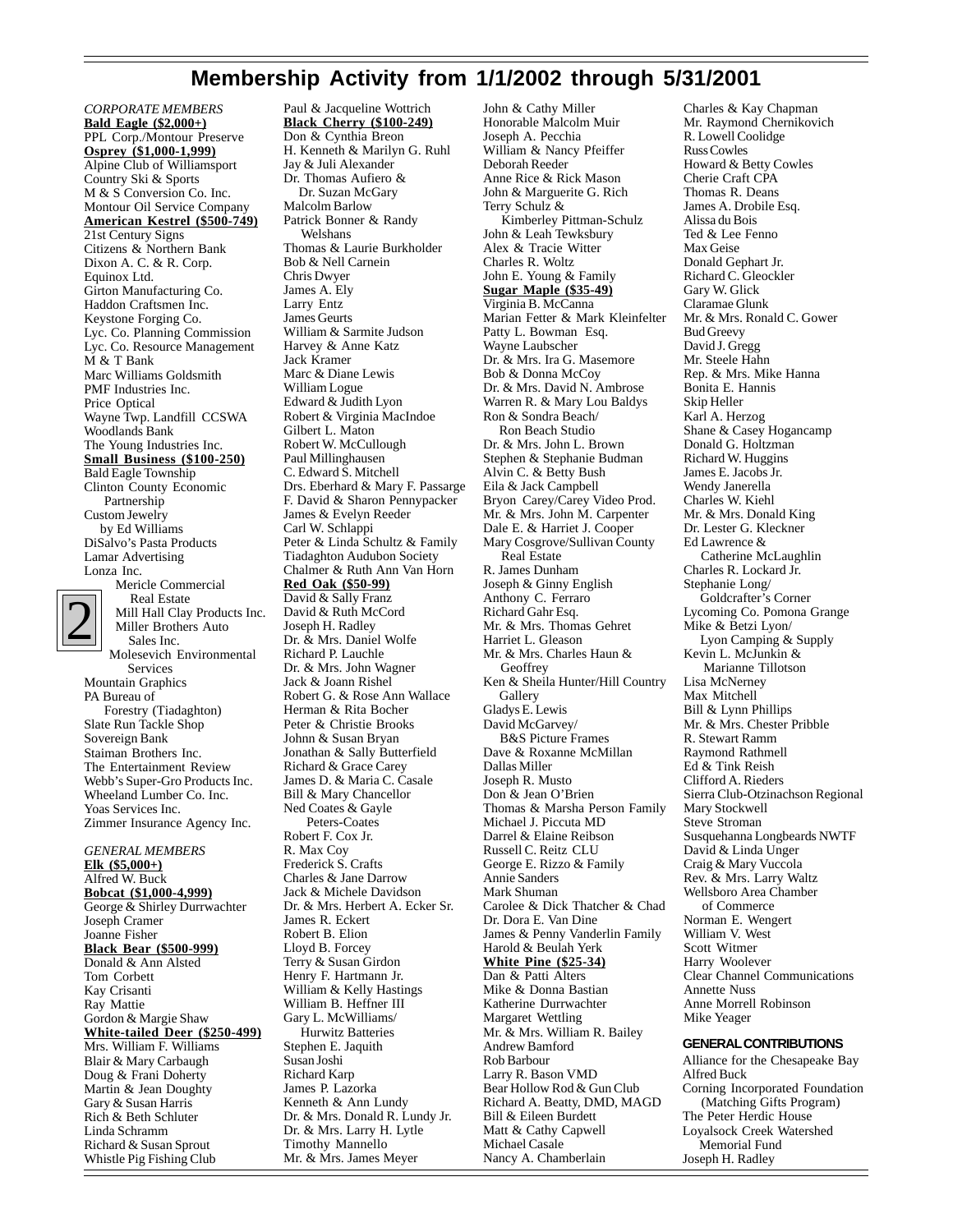## **Membership Activity from 1/1/2002 through 5/31/2001**

*CORPORATE MEMBERS* **Bald Eagle (\$2,000+)** PPL Corp./Montour Preserve **Osprey (\$1,000-1,999)** Alpine Club of Williamsport Country Ski & Sports M & S Conversion Co. Inc. Montour Oil Service Company **American Kestrel (\$500-749)** 21st Century Signs Citizens & Northern Bank Dixon A. C. & R. Corp. Equinox Ltd. Girton Manufacturing Co. Haddon Craftsmen Inc. Keystone Forging Co. Lyc. Co. Planning Commission Lyc. Co. Resource Management M & T Bank Marc Williams Goldsmith PMF Industries Inc. Price Optical Wayne Twp. Landfill CCSWA Woodlands Bank The Young Industries Inc. **Small Business (\$100-250)** Bald Eagle Township Clinton County Economic Partnership Custom Jewelry by Ed Williams DiSalvo's Pasta Products Lamar Advertising Lonza Inc. Mericle Commercial Real Estate



Mill Hall Clay Products Inc. Miller Brothers Auto Sales Inc. Molesevich Environmental Services Mountain Graphics PA Bureau of Forestry (Tiadaghton) Slate Run Tackle Shop Sovereign Bank Staiman Brothers Inc. The Entertainment Review Webb's Super-Gro Products Inc. Wheeland Lumber Co. Inc. Yoas Services Inc.

*GENERAL MEMBERS* **Elk (\$5,000+)** Alfred W. Buck **Bobcat (\$1,000-4,999)** George & Shirley Durrwachter Joseph Cramer Joanne Fisher **Black Bear (\$500-999)** Donald & Ann Alsted Tom Corbett Kay Crisanti Ray Mattie Gordon & Margie Shaw **White-tailed Deer (\$250-499)** Mrs. William F. Williams Blair & Mary Carbaugh Doug & Frani Doherty Martin & Jean Doughty Gary & Susan Harris Rich & Beth Schluter Linda Schramm Richard & Susan Sprout Whistle Pig Fishing Club

Zimmer Insurance Agency Inc.

Paul & Jacqueline Wottrich **Black Cherry (\$100-249)** Don & Cynthia Breon H. Kenneth & Marilyn G. Ruhl Jay & Juli Alexander Dr. Thomas Aufiero & Dr. Suzan McGary Malcolm Barlow Patrick Bonner & Randy Welshans Thomas & Laurie Burkholder Bob & Nell Carnein Chris Dwyer James A. Ely Larry Entz James Geurts William & Sarmite Judson Harvey & Anne Katz Jack Kramer Marc & Diane Lewis William Logue Edward & Judith Lyon Robert & Virginia MacIndoe Gilbert L. Maton Robert W. McCullough Paul Millinghausen C. Edward S. Mitchell Drs. Eberhard & Mary F. Passarge F. David & Sharon Pennypacker James & Evelyn Reeder Carl W. Schlappi Peter & Linda Schultz & Family Tiadaghton Audubon Society Chalmer & Ruth Ann Van Horn **Red Oak (\$50-99)** David & Sally Franz David & Ruth McCord Joseph H. Radley Dr. & Mrs. Daniel Wolfe Richard P. Lauchle Dr. & Mrs. John Wagner Jack & Joann Rishel Robert G. & Rose Ann Wallace Herman & Rita Bocher Peter & Christie Brooks Johnn & Susan Bryan Jonathan & Sally Butterfield Richard & Grace Carey James D. & Maria C. Casale Bill & Mary Chancellor Ned Coates & Gayle Peters-Coates Robert F. Cox Jr. R. Max Coy Frederick S. Crafts Charles & Jane Darrow Jack & Michele Davidson Dr. & Mrs. Herbert A. Ecker Sr. James R. Eckert Robert B. Elion Lloyd B. Forcey Terry & Susan Girdon Henry F. Hartmann Jr. William & Kelly Hastings William B. Heffner III Gary L. McWilliams/ Hurwitz Batteries Stephen E. Jaquith Susan Joshi Richard Karp James P. Lazorka Kenneth & Ann Lundy Dr. & Mrs. Donald R. Lundy Jr. Dr. & Mrs. Larry H. Lytle Timothy Mannello Mr. & Mrs. James Meyer

John & Cathy Miller Honorable Malcolm Muir Joseph A. Pecchia William & Nancy Pfeiffer Deborah Reeder Anne Rice & Rick Mason John & Marguerite G. Rich Terry Schulz & Kimberley Pittman-Schulz John & Leah Tewksbury Alex & Tracie Witter Charles R. Woltz John E. Young & Family **Sugar Maple (\$35-49)** Virginia B. McCanna Marian Fetter & Mark Kleinfelter Patty L. Bowman Esq. Wayne Laubscher Dr. & Mrs. Ira G. Masemore Bob & Donna McCoy Dr. & Mrs. David N. Ambrose Warren R. & Mary Lou Baldys Ron & Sondra Beach/ Ron Beach Studio Dr. & Mrs. John L. Brown Stephen & Stephanie Budman Alvin C. & Betty Bush Eila & Jack Campbell Bryon Carey/Carey Video Prod. Mr. & Mrs. John M. Carpenter Dale E. & Harriet J. Cooper Mary Cosgrove/Sullivan County Real Estate R. James Dunham Joseph & Ginny English Anthony C. Ferraro Richard Gahr Esq. Mr. & Mrs. Thomas Gehret Harriet L. Gleason Mr. & Mrs. Charles Haun & **Geoffrey** Ken & Sheila Hunter/Hill Country **Gallery** Gladys E. Lewis David McGarvey/ B&S Picture Frames Dave & Roxanne McMillan Dallas Miller Joseph R. Musto Don & Jean O'Brien Thomas & Marsha Person Family Michael J. Piccuta MD Darrel & Elaine Reibson Russell C. Reitz CLU George E. Rizzo & Family Annie Sanders Mark Shuman Carolee & Dick Thatcher & Chad Dr. Dora E. Van Dine James & Penny Vanderlin Family Harold & Beulah Yerk **White Pine (\$25-34)** Dan & Patti Alters Mike & Donna Bastian Katherine Durrwachter Margaret Wettling Mr. & Mrs. William R. Bailey Andrew Bamford Rob Barbour Larry R. Bason VMD Bear Hollow Rod & Gun Club Richard A. Beatty, DMD, MAGD Bill & Eileen Burdett Matt & Cathy Capwell Michael Casale Nancy A. Chamberlain

Charles & Kay Chapman Mr. Raymond Chernikovich R. Lowell Coolidge Russ Cowles Howard & Betty Cowles Cherie Craft CPA Thomas R. Deans James A. Drobile Esq. Alissa du Bois Ted & Lee Fenno Max Geise Donald Gephart Jr. Richard C. Gleockler Gary W. Glick Claramae Glunk Mr. & Mrs. Ronald C. Gower Bud Greevy David J. Gregg Mr. Steele Hahn Rep. & Mrs. Mike Hanna Bonita E. Hannis Skip Heller Karl A. Herzog Shane & Casey Hogancamp Donald G. Holtzman Richard W. Huggins James E. Jacobs Jr. Wendy Janerella Charles W. Kiehl Mr. & Mrs. Donald King Dr. Lester G. Kleckner Ed Lawrence & Catherine McLaughlin Charles R. Lockard Jr. Stephanie Long/ Goldcrafter's Corner Lycoming Co. Pomona Grange Mike & Betzi Lyon/ Lyon Camping & Supply Kevin L. McJunkin & Marianne Tillotson Lisa McNerney Max Mitchell Bill & Lynn Phillips Mr. & Mrs. Chester Pribble R. Stewart Ramm Raymond Rathmell Ed & Tink Reish Clifford A. Rieders Sierra Club-Otzinachson Regional Mary Stockwell Steve Stroman Susquehanna Longbeards NWTF David & Linda Unger Craig & Mary Vuccola Rev. & Mrs. Larry Waltz Wellsboro Area Chamber of Commerce Norman E. Wengert William V. West Scott Witmer Harry Woolever Clear Channel Communications Annette Nuss Anne Morrell Robinson Mike Yeager

### **GENERAL CONTRIBUTIONS**

Alliance for the Chesapeake Bay Alfred Buck Corning Incorporated Foundation (Matching Gifts Program) The Peter Herdic House Loyalsock Creek Watershed Memorial Fund Joseph H. Radley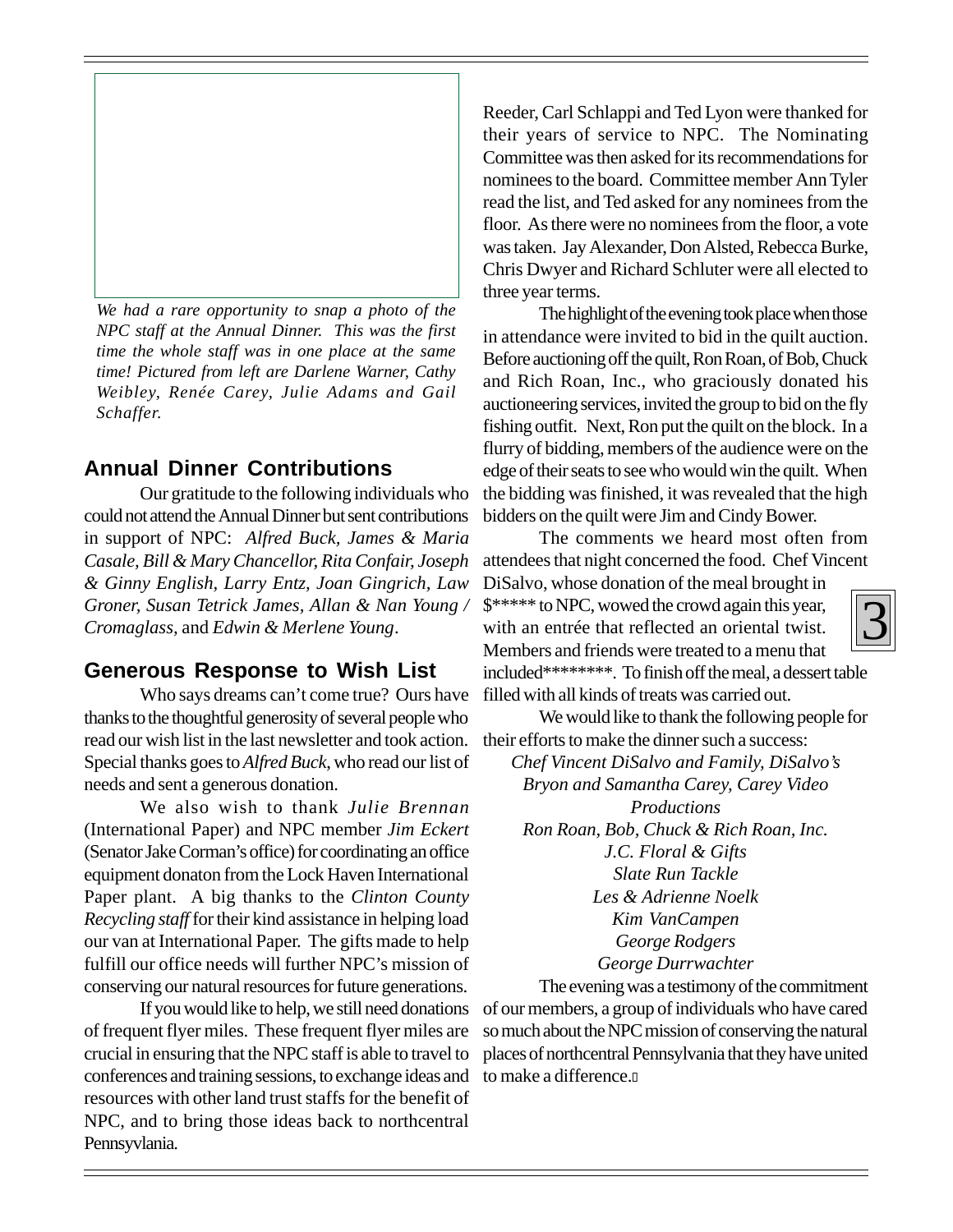

*We had a rare opportunity to snap a photo of the NPC staff at the Annual Dinner. This was the first time the whole staff was in one place at the same time! Pictured from left are Darlene Warner, Cathy Weibley, Renée Carey, Julie Adams and Gail Schaffer.*

### **Annual Dinner Contributions**

Our gratitude to the following individuals who could not attend the Annual Dinner but sent contributions in support of NPC: *Alfred Buck, James & Maria Casale, Bill & Mary Chancellor, Rita Confair, Joseph & Ginny English, Larry Entz, Joan Gingrich, Law Groner, Susan Tetrick James, Allan & Nan Young / Cromaglass,* and *Edwin & Merlene Young*.

### **Generous Response to Wish List**

Who says dreams can't come true? Ours have thanks to the thoughtful generosity of several people who read our wish list in the last newsletter and took action. Special thanks goes to *Alfred Buck*, who read our list of needs and sent a generous donation.

We also wish to thank *Julie Brennan* (International Paper) and NPC member *Jim Eckert* (Senator Jake Corman's office) for coordinating an office equipment donaton from the Lock Haven International Paper plant. A big thanks to the *Clinton County Recycling staff* for their kind assistance in helping load our van at International Paper. The gifts made to help fulfill our office needs will further NPC's mission of conserving our natural resources for future generations.

If you would like to help, we still need donations of frequent flyer miles. These frequent flyer miles are crucial in ensuring that the NPC staff is able to travel to conferences and training sessions, to exchange ideas and resources with other land trust staffs for the benefit of NPC, and to bring those ideas back to northcentral Pennsyvlania.

Reeder, Carl Schlappi and Ted Lyon were thanked for their years of service to NPC. The Nominating Committee was then asked for its recommendations for nominees to the board. Committee member Ann Tyler read the list, and Ted asked for any nominees from the floor. As there were no nominees from the floor, a vote was taken. Jay Alexander, Don Alsted, Rebecca Burke, Chris Dwyer and Richard Schluter were all elected to three year terms.

The highlight of the evening took place when those in attendance were invited to bid in the quilt auction. Before auctioning off the quilt, Ron Roan, of Bob, Chuck and Rich Roan, Inc., who graciously donated his auctioneering services, invited the group to bid on the fly fishing outfit. Next, Ron put the quilt on the block. In a flurry of bidding, members of the audience were on the edge of their seats to see who would win the quilt. When the bidding was finished, it was revealed that the high bidders on the quilt were Jim and Cindy Bower.

The comments we heard most often from attendees that night concerned the food. Chef Vincent

DiSalvo, whose donation of the meal brought in \$\*\*\*\*\* to NPC, wowed the crowd again this year, with an entrée that reflected an oriental twist. Members and friends were treated to a menu that included\*\*\*\*\*\*\*\*. To finish off the meal, a dessert table

filled with all kinds of treats was carried out. We would like to thank the following people for

their efforts to make the dinner such a success:

*Chef Vincent DiSalvo and Family, DiSalvo's Bryon and Samantha Carey, Carey Video Productions Ron Roan, Bob, Chuck & Rich Roan, Inc. J.C. Floral & Gifts Slate Run Tackle Les & Adrienne Noelk Kim VanCampen George Rodgers George Durrwachter*

The evening was a testimony of the commitment of our members, a group of individuals who have cared so much about the NPC mission of conserving the natural places of northcentral Pennsylvania that they have united to make a difference.

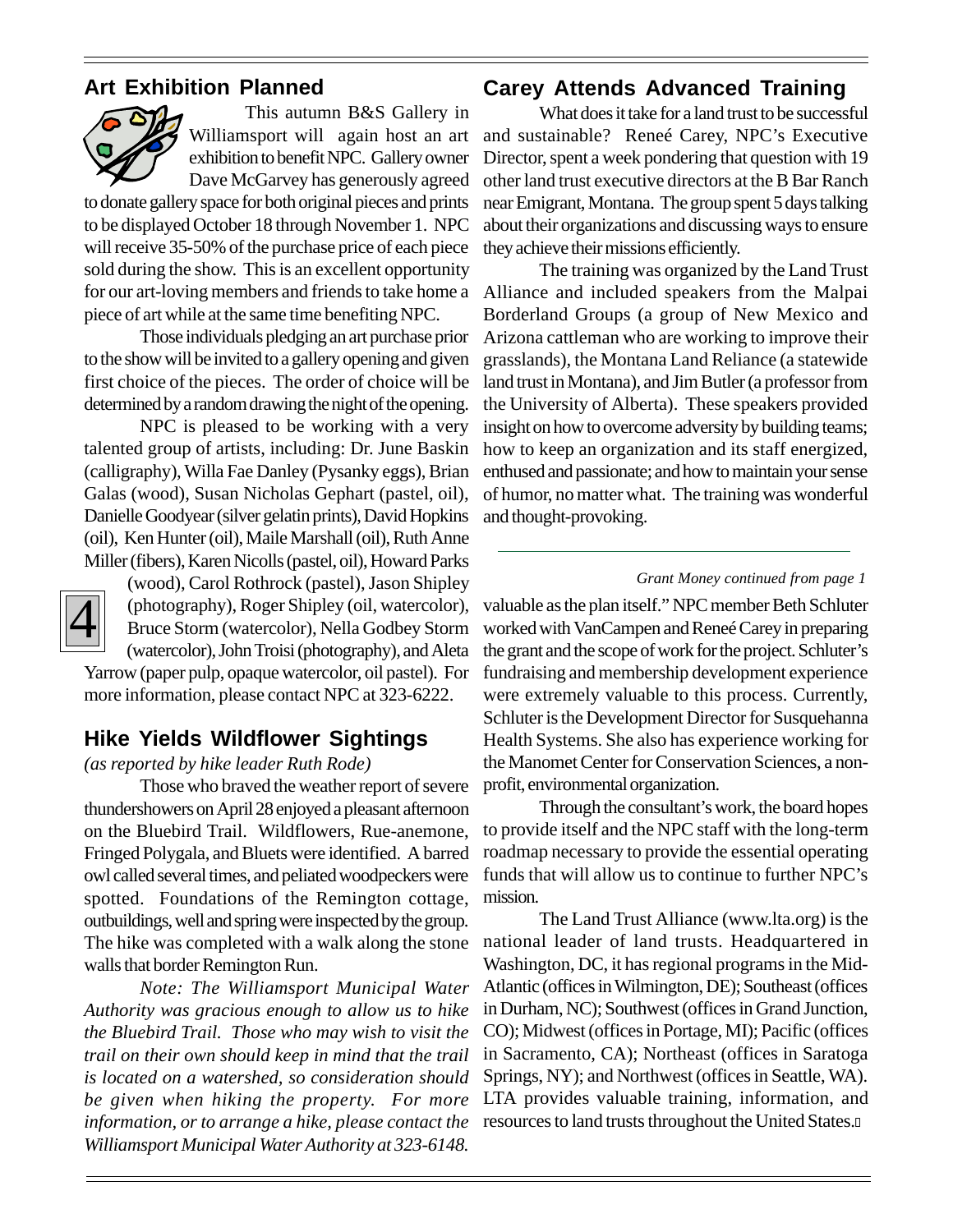## **Art Exhibition Planned**



This autumn B&S Gallery in Williamsport will again host an art exhibition to benefit NPC. Gallery owner Dave McGarvey has generously agreed

to donate gallery space for both original pieces and prints to be displayed October 18 through November 1. NPC will receive 35-50% of the purchase price of each piece sold during the show. This is an excellent opportunity for our art-loving members and friends to take home a piece of art while at the same time benefiting NPC.

Those individuals pledging an art purchase prior to the show will be invited to a gallery opening and given first choice of the pieces. The order of choice will be determined by a random drawing the night of the opening.

NPC is pleased to be working with a very talented group of artists, including: Dr. June Baskin (calligraphy), Willa Fae Danley (Pysanky eggs), Brian Galas (wood), Susan Nicholas Gephart (pastel, oil), Danielle Goodyear (silver gelatin prints), David Hopkins (oil), Ken Hunter (oil), Maile Marshall (oil), Ruth Anne Miller (fibers), Karen Nicolls (pastel, oil), Howard Parks



(wood), Carol Rothrock (pastel), Jason Shipley (photography), Roger Shipley (oil, watercolor), Bruce Storm (watercolor), Nella Godbey Storm (watercolor), John Troisi (photography), and Aleta Yarrow (paper pulp, opaque watercolor, oil pastel). For

more information, please contact NPC at 323-6222.

## **Hike Yields Wildflower Sightings**

### *(as reported by hike leader Ruth Rode)*

Those who braved the weather report of severe thundershowers on April 28 enjoyed a pleasant afternoon on the Bluebird Trail. Wildflowers, Rue-anemone, Fringed Polygala, and Bluets were identified. A barred owl called several times, and peliated woodpeckers were spotted. Foundations of the Remington cottage, outbuildings, well and spring were inspected by the group. The hike was completed with a walk along the stone walls that border Remington Run.

*Note: The Williamsport Municipal Water Authority was gracious enough to allow us to hike the Bluebird Trail. Those who may wish to visit the trail on their own should keep in mind that the trail is located on a watershed, so consideration should be given when hiking the property. For more information, or to arrange a hike, please contact the Williamsport Municipal Water Authority at 323-6148.*

## **Carey Attends Advanced Training**

What does it take for a land trust to be successful and sustainable? Reneé Carey, NPC's Executive Director, spent a week pondering that question with 19 other land trust executive directors at the B Bar Ranch near Emigrant, Montana. The group spent 5 days talking about their organizations and discussing ways to ensure they achieve their missions efficiently.

The training was organized by the Land Trust Alliance and included speakers from the Malpai Borderland Groups (a group of New Mexico and Arizona cattleman who are working to improve their grasslands), the Montana Land Reliance (a statewide land trust in Montana), and Jim Butler (a professor from the University of Alberta). These speakers provided insight on how to overcome adversity by building teams; how to keep an organization and its staff energized, enthused and passionate; and how to maintain your sense of humor, no matter what. The training was wonderful and thought-provoking.

### *Grant Money continued from page 1*

(photography), Roger Shipley (oil, watercolor), valuable as the plan itself." NPC member Beth Schluter<br>Bruce Storm (watercolor), Nella Godbey Storm worked with VanCampen and Reneé Carey in preparing<br>watercolor), John Trois the grant and the scope of work for the project. Schluter's fundraising and membership development experience were extremely valuable to this process. Currently, Schluter is the Development Director for Susquehanna Health Systems. She also has experience working for the Manomet Center for Conservation Sciences, a nonprofit, environmental organization.

> Through the consultant's work, the board hopes to provide itself and the NPC staff with the long-term roadmap necessary to provide the essential operating funds that will allow us to continue to further NPC's mission.

> The Land Trust Alliance (www.lta.org) is the national leader of land trusts. Headquartered in Washington, DC, it has regional programs in the Mid-Atlantic (offices in Wilmington, DE); Southeast (offices in Durham, NC); Southwest (offices in Grand Junction, CO); Midwest (offices in Portage, MI); Pacific (offices in Sacramento, CA); Northeast (offices in Saratoga Springs, NY); and Northwest (offices in Seattle, WA). LTA provides valuable training, information, and resources to land trusts throughout the United States.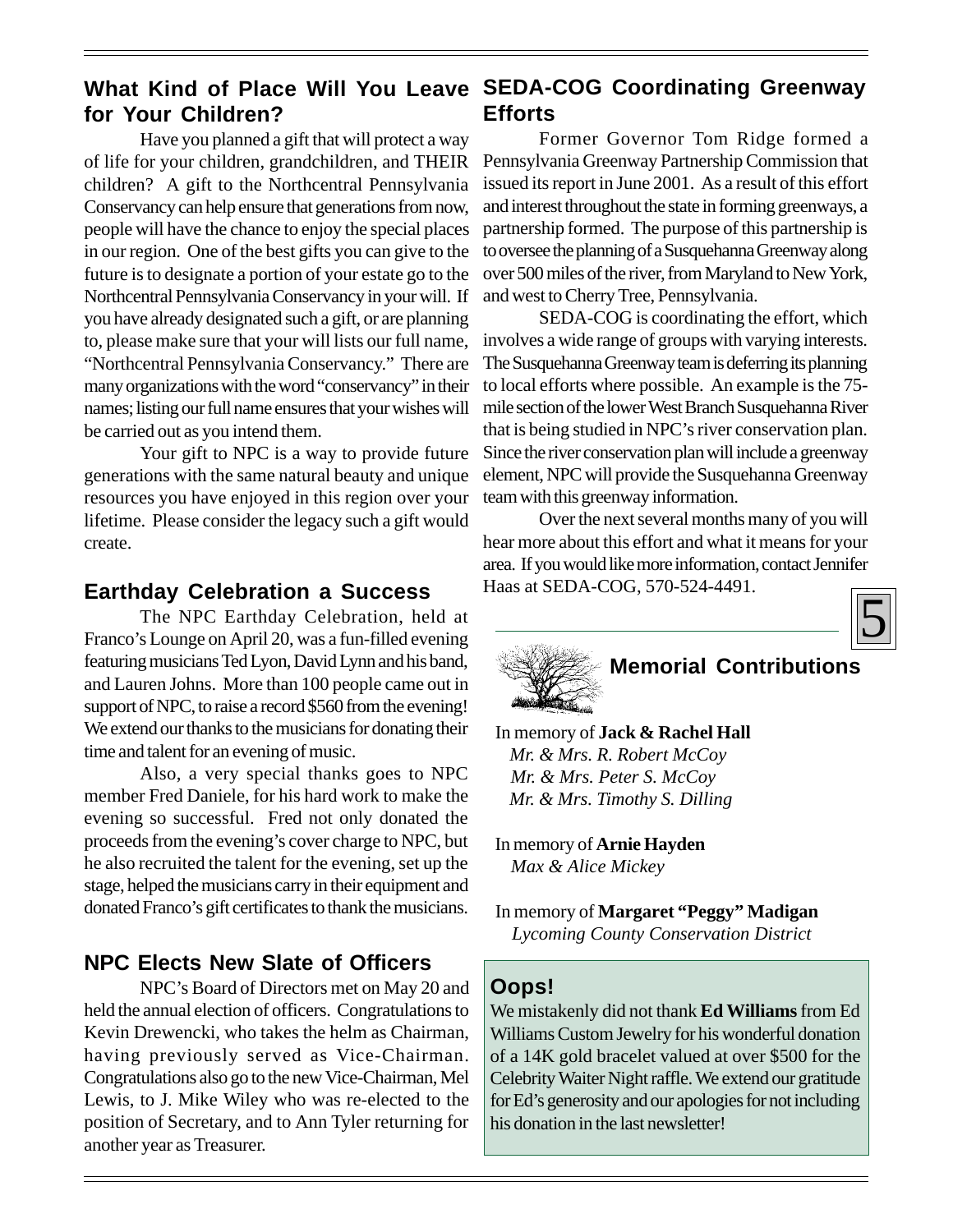### **What Kind of Place Will You Leave SEDA-COG Coordinating Greenway for Your Children? Efforts**

Have you planned a gift that will protect a way of life for your children, grandchildren, and THEIR children? A gift to the Northcentral Pennsylvania Conservancy can help ensure that generations from now, people will have the chance to enjoy the special places in our region. One of the best gifts you can give to the future is to designate a portion of your estate go to the Northcentral Pennsylvania Conservancy in your will. If you have already designated such a gift, or are planning to, please make sure that your will lists our full name, "Northcentral Pennsylvania Conservancy." There are many organizations with the word "conservancy" in their names; listing our full name ensures that your wishes will be carried out as you intend them.

Your gift to NPC is a way to provide future generations with the same natural beauty and unique resources you have enjoyed in this region over your lifetime. Please consider the legacy such a gift would create.

Earthday Celebration a Success<br>
The NPC Earthday Celebration, held at<br>
Franco's Lounge on April 20, was a fun-filled evening<br>
The Success and the Success of the Successive of April 20, was a fun-filled evening The NPC Earthday Celebration, held at featuring musicians Ted Lyon, David Lynn and his band, and Lauren Johns. More than 100 people came out in support of NPC, to raise a record \$560 from the evening! We extend our thanks to the musicians for donating their time and talent for an evening of music.

Also, a very special thanks goes to NPC member Fred Daniele, for his hard work to make the evening so successful. Fred not only donated the proceeds from the evening's cover charge to NPC, but he also recruited the talent for the evening, set up the stage, helped the musicians carry in their equipment and donated Franco's gift certificates to thank the musicians.

## **NPC Elects New Slate of Officers**

NPC's Board of Directors met on May 20 and held the annual election of officers. Congratulations to Kevin Drewencki, who takes the helm as Chairman, having previously served as Vice-Chairman. Congratulations also go to the new Vice-Chairman, Mel Lewis, to J. Mike Wiley who was re-elected to the position of Secretary, and to Ann Tyler returning for another year as Treasurer.

Former Governor Tom Ridge formed a Pennsylvania Greenway Partnership Commission that issued its report in June 2001. As a result of this effort and interest throughout the state in forming greenways, a partnership formed. The purpose of this partnership is to oversee the planning of a Susquehanna Greenway along over 500 miles of the river, from Maryland to New York, and west to Cherry Tree, Pennsylvania.

SEDA-COG is coordinating the effort, which involves a wide range of groups with varying interests. The Susquehanna Greenway team is deferring its planning to local efforts where possible. An example is the 75 mile section of the lower West Branch Susquehanna River that is being studied in NPC's river conservation plan. Since the river conservation plan will include a greenway element, NPC will provide the Susquehanna Greenway team with this greenway information.

Over the next several months many of you will hear more about this effort and what it means for your area. If you would like more information, contact Jennifer Haas at SEDA-COG, 570-524-4491.





## **Memorial Contributions**

 In memory of **Jack & Rachel Hall** *Mr. & Mrs. R. Robert McCoy Mr. & Mrs. Peter S. McCoy Mr. & Mrs. Timothy S. Dilling*

 In memory of **Arnie Hayden** *Max & Alice Mickey*

 In memory of **Margaret "Peggy" Madigan** *Lycoming County Conservation District*

## **Oops!**

We mistakenly did not thank **Ed Williams** from Ed Williams Custom Jewelry for his wonderful donation of a 14K gold bracelet valued at over \$500 for the Celebrity Waiter Night raffle. We extend our gratitude for Ed's generosity and our apologies for not including his donation in the last newsletter!